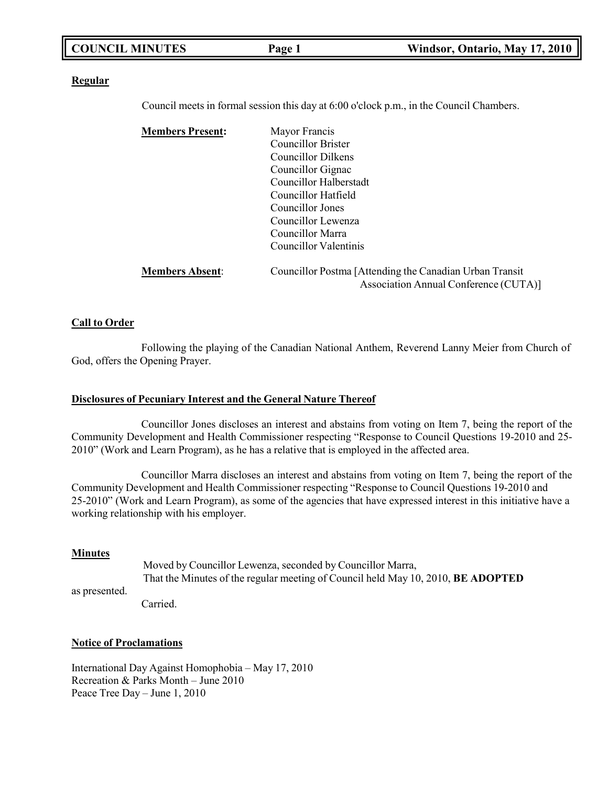| <b>COUNCIL MINUTES</b><br>Windsor, Ontario, May 17, 2010<br>Page 1 |
|--------------------------------------------------------------------|
|--------------------------------------------------------------------|

#### **Regular**

Council meets in formal session this day at 6:00 o'clock p.m., in the Council Chambers.

| <b>Members Present:</b> | Mayor Francis                                           |
|-------------------------|---------------------------------------------------------|
|                         | Councillor Brister                                      |
|                         | Councillor Dilkens                                      |
|                         | Councillor Gignac                                       |
|                         | Councillor Halberstadt                                  |
|                         | Councillor Hatfield                                     |
|                         | Councillor Jones                                        |
|                         | Councillor Lewenza                                      |
|                         | Councillor Marra                                        |
|                         | Councillor Valentinis                                   |
| <b>Members Absent:</b>  | Councillor Postma [Attending the Canadian Urban Transit |
|                         | Association Annual Conference (CUTA)]                   |

### **Call to Order**

Following the playing of the Canadian National Anthem, Reverend Lanny Meier from Church of God, offers the Opening Prayer.

### **Disclosures of Pecuniary Interest and the General Nature Thereof**

Councillor Jones discloses an interest and abstains from voting on Item 7, being the report of the Community Development and Health Commissioner respecting "Response to Council Questions 19-2010 and 25- 2010" (Work and Learn Program), as he has a relative that is employed in the affected area.

Councillor Marra discloses an interest and abstains from voting on Item 7, being the report of the Community Development and Health Commissioner respecting "Response to Council Questions 19-2010 and 25-2010" (Work and Learn Program), as some of the agencies that have expressed interest in this initiative have a working relationship with his employer.

### **Minutes**

as presented.

Moved by Councillor Lewenza, seconded by Councillor Marra, That the Minutes of the regular meeting of Council held May 10, 2010, **BE ADOPTED**

Carried.

### **Notice of Proclamations**

International Day Against Homophobia – May 17, 2010 Recreation & Parks Month – June 2010 Peace Tree Day – June 1, 2010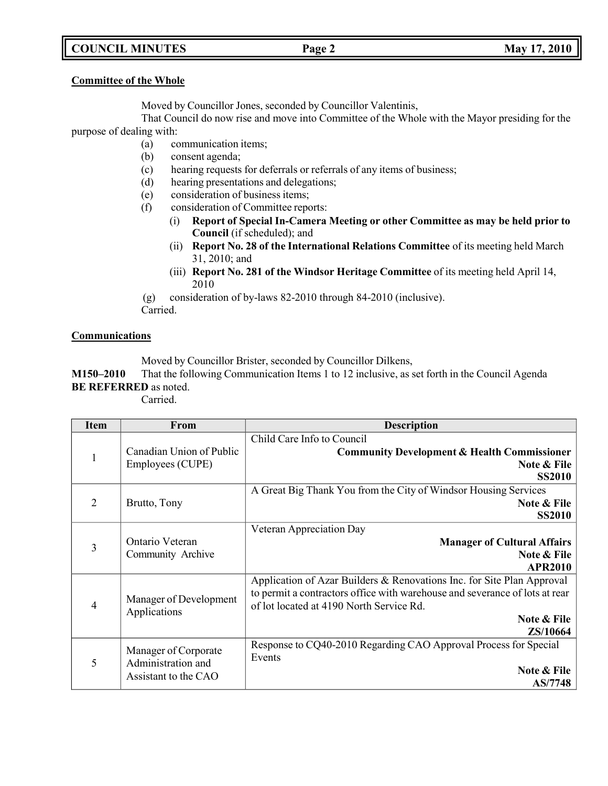## **COUNCIL MINUTES Page 2 May 17, 2010**

## **Committee of the Whole**

Moved by Councillor Jones, seconded by Councillor Valentinis,

That Council do now rise and move into Committee of the Whole with the Mayor presiding for the purpose of dealing with:

- (a) communication items;
- (b) consent agenda;
- (c) hearing requests for deferrals or referrals of any items of business;
- (d) hearing presentations and delegations;
- (e) consideration of business items;
- (f) consideration of Committee reports:
	- (i) **Report of Special In-Camera Meeting or other Committee as may be held prior to Council** (if scheduled); and
	- (ii) **Report No. 28 of the International Relations Committee** of its meeting held March 31, 2010; and
	- (iii) **Report No. 281 of the Windsor Heritage Committee** of its meeting held April 14, 2010

(g) consideration of by-laws 82-2010 through 84-2010 (inclusive).

Carried.

## **Communications**

Moved by Councillor Brister, seconded by Councillor Dilkens,

**M150–2010** That the following Communication Items 1 to 12 inclusive, as set forth in the Council Agenda **BE REFERRED** as noted.

Carried.

| <b>Item</b>    | From                                       | <b>Description</b>                                                                   |  |
|----------------|--------------------------------------------|--------------------------------------------------------------------------------------|--|
|                | Canadian Union of Public                   | Child Care Info to Council<br><b>Community Development &amp; Health Commissioner</b> |  |
|                | Employees (CUPE)                           | Note & File<br><b>SS2010</b>                                                         |  |
|                |                                            | A Great Big Thank You from the City of Windsor Housing Services                      |  |
| 2              | Brutto, Tony                               | Note & File                                                                          |  |
|                |                                            | <b>SS2010</b>                                                                        |  |
|                |                                            | Veteran Appreciation Day                                                             |  |
| $\overline{3}$ | Ontario Veteran                            | <b>Manager of Cultural Affairs</b>                                                   |  |
|                | Community Archive                          | Note & File                                                                          |  |
|                |                                            | <b>APR2010</b>                                                                       |  |
|                |                                            | Application of Azar Builders & Renovations Inc. for Site Plan Approval               |  |
|                | Manager of Development<br>Applications     | to permit a contractors office with warehouse and severance of lots at rear          |  |
| $\overline{4}$ |                                            | of lot located at 4190 North Service Rd.                                             |  |
|                |                                            | Note & File                                                                          |  |
|                |                                            | ZS/10664                                                                             |  |
| 5              | Manager of Corporate<br>Administration and | Response to CQ40-2010 Regarding CAO Approval Process for Special<br>Events           |  |
|                | Assistant to the CAO                       | Note & File                                                                          |  |
|                |                                            | <b>AS/7748</b>                                                                       |  |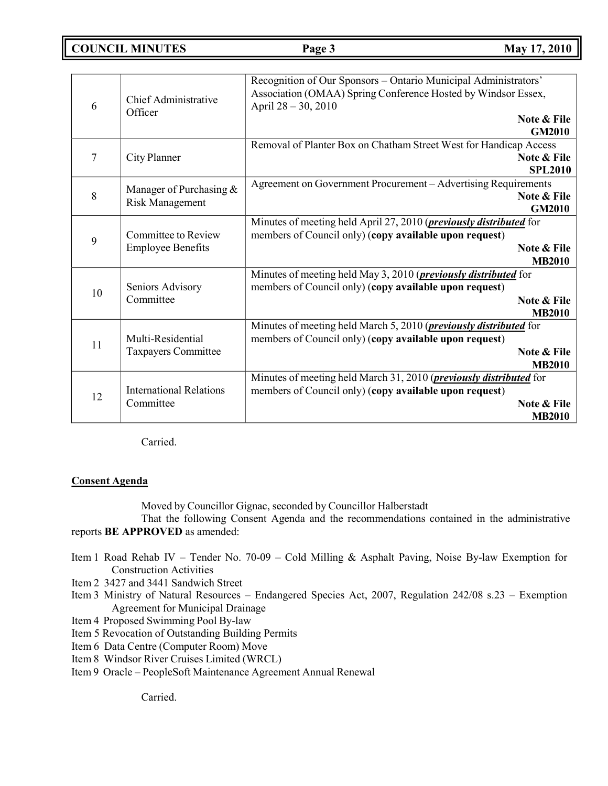**COUNCIL MINUTES Page 3 May 17, 2010**

| 6  | Chief Administrative<br>Officer          | Recognition of Our Sponsors - Ontario Municipal Administrators'<br>Association (OMAA) Spring Conference Hosted by Windsor Essex,<br>April 28 - 30, 2010<br>Note & File |
|----|------------------------------------------|------------------------------------------------------------------------------------------------------------------------------------------------------------------------|
|    |                                          | <b>GM2010</b>                                                                                                                                                          |
|    |                                          | Removal of Planter Box on Chatham Street West for Handicap Access                                                                                                      |
| 7  | City Planner                             | Note & File<br><b>SPL2010</b>                                                                                                                                          |
|    |                                          | Agreement on Government Procurement - Advertising Requirements                                                                                                         |
| 8  | Manager of Purchasing &                  | Note & File                                                                                                                                                            |
|    | <b>Risk Management</b>                   | <b>GM2010</b>                                                                                                                                                          |
|    |                                          | Minutes of meeting held April 27, 2010 ( <i>previously distributed</i> for                                                                                             |
| 9  | <b>Committee to Review</b>               | members of Council only) (copy available upon request)                                                                                                                 |
|    | <b>Employee Benefits</b>                 | <b>Note &amp; File</b><br><b>MB2010</b>                                                                                                                                |
|    |                                          | Minutes of meeting held May 3, 2010 ( <i>previously distributed</i> for                                                                                                |
|    | Seniors Advisory<br>Committee            | members of Council only) (copy available upon request)                                                                                                                 |
| 10 |                                          | Note & File                                                                                                                                                            |
|    |                                          | <b>MB2010</b>                                                                                                                                                          |
|    |                                          | Minutes of meeting held March 5, 2010 ( <i>previously distributed</i> for                                                                                              |
| 11 | Multi-Residential<br>Taxpayers Committee | members of Council only) (copy available upon request)                                                                                                                 |
|    |                                          | Note & File                                                                                                                                                            |
|    |                                          | <b>MB2010</b><br>Minutes of meeting held March 31, 2010 ( <i>previously distributed</i> for                                                                            |
|    | <b>International Relations</b>           | members of Council only) (copy available upon request)                                                                                                                 |
| 12 | Committee                                | Note & File                                                                                                                                                            |
|    |                                          | <b>MB2010</b>                                                                                                                                                          |
|    |                                          |                                                                                                                                                                        |

Carried.

## **Consent Agenda**

Moved by Councillor Gignac, seconded by Councillor Halberstadt

That the following Consent Agenda and the recommendations contained in the administrative reports **BE APPROVED** as amended:

- Item 1 Road Rehab IV Tender No. 70-09 Cold Milling & Asphalt Paving, Noise By-law Exemption for Construction Activities
- Item 2 3427 and 3441 Sandwich Street
- Item 3 Ministry of Natural Resources Endangered Species Act, 2007, Regulation 242/08 s.23 Exemption Agreement for Municipal Drainage
- Item 4 Proposed Swimming Pool By-law
- Item 5 Revocation of Outstanding Building Permits
- Item 6 Data Centre (Computer Room) Move
- Item 8 Windsor River Cruises Limited (WRCL)
- Item 9 Oracle PeopleSoft Maintenance Agreement Annual Renewal

Carried.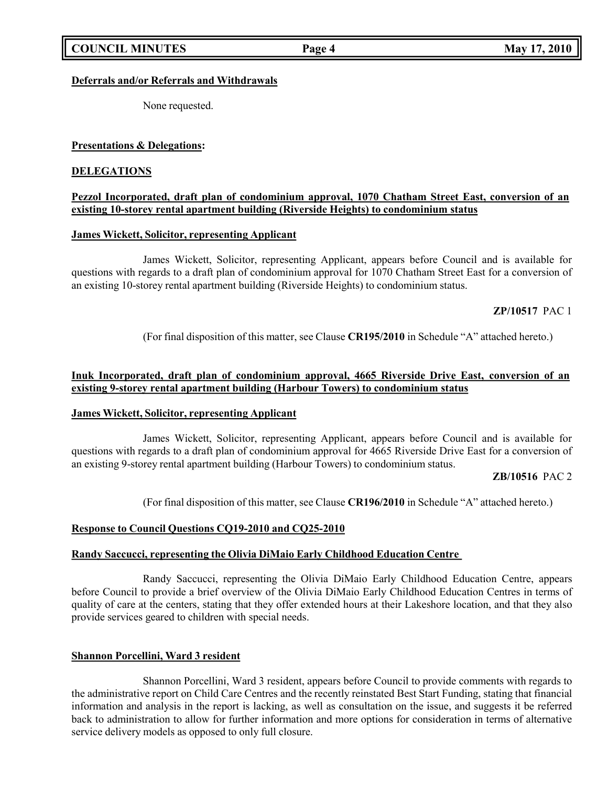## **Deferrals and/or Referrals and Withdrawals**

None requested.

## **Presentations & Delegations:**

## **DELEGATIONS**

## **Pezzol Incorporated, draft plan of condominium approval, 1070 Chatham Street East, conversion of an existing 10-storey rental apartment building (Riverside Heights) to condominium status**

## **James Wickett, Solicitor, representing Applicant**

James Wickett, Solicitor, representing Applicant, appears before Council and is available for questions with regards to a draft plan of condominium approval for 1070 Chatham Street East for a conversion of an existing 10-storey rental apartment building (Riverside Heights) to condominium status.

## **ZP/10517** PAC 1

(For final disposition of this matter, see Clause **CR195/2010** in Schedule "A" attached hereto.)

## **Inuk Incorporated, draft plan of condominium approval, 4665 Riverside Drive East, conversion of an existing 9-storey rental apartment building (Harbour Towers) to condominium status**

#### **James Wickett, Solicitor, representing Applicant**

James Wickett, Solicitor, representing Applicant, appears before Council and is available for questions with regards to a draft plan of condominium approval for 4665 Riverside Drive East for a conversion of an existing 9-storey rental apartment building (Harbour Towers) to condominium status.

#### **ZB/10516** PAC 2

(For final disposition of this matter, see Clause **CR196/2010** in Schedule "A" attached hereto.)

#### **Response to Council Questions CQ19-2010 and CQ25-2010**

#### **Randy Saccucci, representing the Olivia DiMaio Early Childhood Education Centre**

Randy Saccucci, representing the Olivia DiMaio Early Childhood Education Centre, appears before Council to provide a brief overview of the Olivia DiMaio Early Childhood Education Centres in terms of quality of care at the centers, stating that they offer extended hours at their Lakeshore location, and that they also provide services geared to children with special needs.

### **Shannon Porcellini, Ward 3 resident**

Shannon Porcellini, Ward 3 resident, appears before Council to provide comments with regards to the administrative report on Child Care Centres and the recently reinstated Best Start Funding, stating that financial information and analysis in the report is lacking, as well as consultation on the issue, and suggests it be referred back to administration to allow for further information and more options for consideration in terms of alternative service delivery models as opposed to only full closure.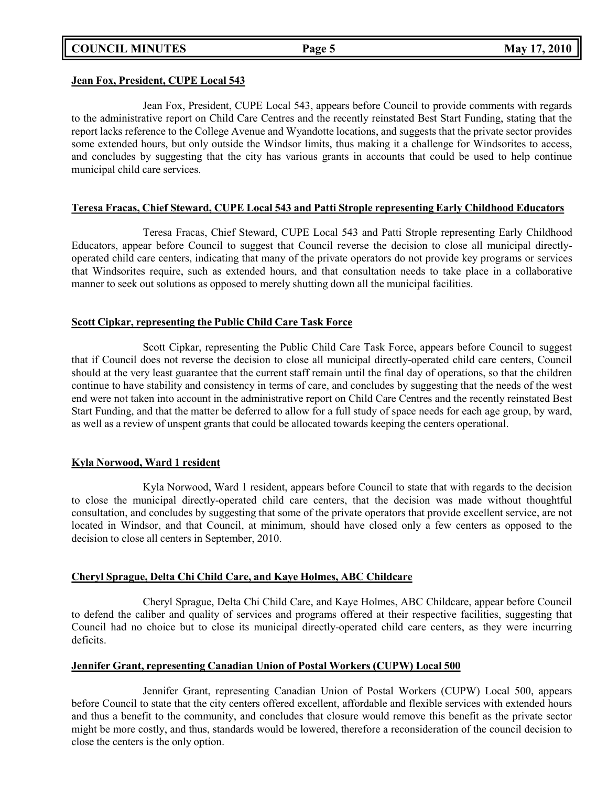**COUNCIL MINUTES Page 5 May 17, 2010**

### **Jean Fox, President, CUPE Local 543**

Jean Fox, President, CUPE Local 543, appears before Council to provide comments with regards to the administrative report on Child Care Centres and the recently reinstated Best Start Funding, stating that the report lacks reference to the College Avenue and Wyandotte locations, and suggests that the private sector provides some extended hours, but only outside the Windsor limits, thus making it a challenge for Windsorites to access, and concludes by suggesting that the city has various grants in accounts that could be used to help continue municipal child care services.

## **Teresa Fracas, Chief Steward, CUPE Local 543 and Patti Strople representing Early Childhood Educators**

Teresa Fracas, Chief Steward, CUPE Local 543 and Patti Strople representing Early Childhood Educators, appear before Council to suggest that Council reverse the decision to close all municipal directlyoperated child care centers, indicating that many of the private operators do not provide key programs or services that Windsorites require, such as extended hours, and that consultation needs to take place in a collaborative manner to seek out solutions as opposed to merely shutting down all the municipal facilities.

## **Scott Cipkar, representing the Public Child Care Task Force**

Scott Cipkar, representing the Public Child Care Task Force, appears before Council to suggest that if Council does not reverse the decision to close all municipal directly-operated child care centers, Council should at the very least guarantee that the current staff remain until the final day of operations, so that the children continue to have stability and consistency in terms of care, and concludes by suggesting that the needs of the west end were not taken into account in the administrative report on Child Care Centres and the recently reinstated Best Start Funding, and that the matter be deferred to allow for a full study of space needs for each age group, by ward, as well as a review of unspent grants that could be allocated towards keeping the centers operational.

## **Kyla Norwood, Ward 1 resident**

Kyla Norwood, Ward 1 resident, appears before Council to state that with regards to the decision to close the municipal directly-operated child care centers, that the decision was made without thoughtful consultation, and concludes by suggesting that some of the private operators that provide excellent service, are not located in Windsor, and that Council, at minimum, should have closed only a few centers as opposed to the decision to close all centers in September, 2010.

## **Cheryl Sprague, Delta Chi Child Care, and Kaye Holmes, ABC Childcare**

Cheryl Sprague, Delta Chi Child Care, and Kaye Holmes, ABC Childcare, appear before Council to defend the caliber and quality of services and programs offered at their respective facilities, suggesting that Council had no choice but to close its municipal directly-operated child care centers, as they were incurring deficits.

## **Jennifer Grant, representing Canadian Union of Postal Workers (CUPW) Local 500**

Jennifer Grant, representing Canadian Union of Postal Workers (CUPW) Local 500, appears before Council to state that the city centers offered excellent, affordable and flexible services with extended hours and thus a benefit to the community, and concludes that closure would remove this benefit as the private sector might be more costly, and thus, standards would be lowered, therefore a reconsideration of the council decision to close the centers is the only option.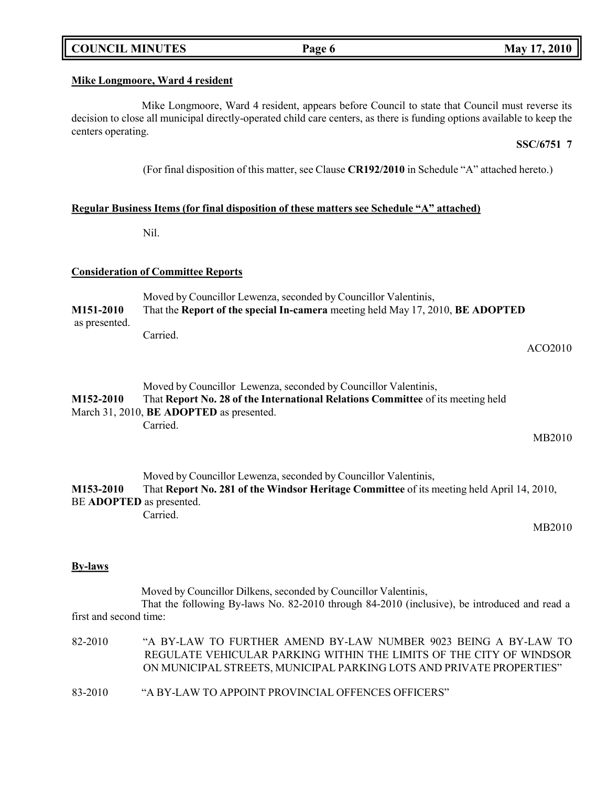## **COUNCIL MINUTES Page 6 May 17, 2010**

### **Mike Longmoore, Ward 4 resident**

Mike Longmoore, Ward 4 resident, appears before Council to state that Council must reverse its decision to close all municipal directly-operated child care centers, as there is funding options available to keep the centers operating.

### **SSC/6751 7**

(For final disposition of this matter, see Clause **CR192/2010** in Schedule "A" attached hereto.)

### **Regular Business Items (for final disposition of these matters see Schedule "A" attached)**

Nil.

### **Consideration of Committee Reports**

Moved by Councillor Lewenza, seconded by Councillor Valentinis, **M151-2010** That the **Report of the special In-camera** meeting held May 17, 2010, **BE ADOPTED** as presented. Carried.

ACO2010

|           | Moved by Councillor Lewenza, seconded by Councillor Valentinis,                 |
|-----------|---------------------------------------------------------------------------------|
| M152-2010 | That Report No. 28 of the International Relations Committee of its meeting held |
|           | March 31, 2010, <b>BE ADOPTED</b> as presented.                                 |
|           | Carried.                                                                        |

MB2010

Moved by Councillor Lewenza, seconded by Councillor Valentinis, **M153-2010** That **Report No. 281 of the Windsor Heritage Committee** of its meeting held April 14, 2010, BE **ADOPTED** as presented. Carried.

MB2010

#### **By-laws**

Moved by Councillor Dilkens, seconded by Councillor Valentinis, That the following By-laws No. 82-2010 through 84-2010 (inclusive), be introduced and read a first and second time:

| 82-2010 | "A BY-LAW TO FURTHER AMEND BY-LAW NUMBER 9023 BEING A BY-LAW TO      |
|---------|----------------------------------------------------------------------|
|         | REGULATE VEHICULAR PARKING WITHIN THE LIMITS OF THE CITY OF WINDSOR  |
|         | ON MUNICIPAL STREETS, MUNICIPAL PARKING LOTS AND PRIVATE PROPERTIES" |
|         |                                                                      |

83-2010 "A BY-LAW TO APPOINT PROVINCIAL OFFENCES OFFICERS"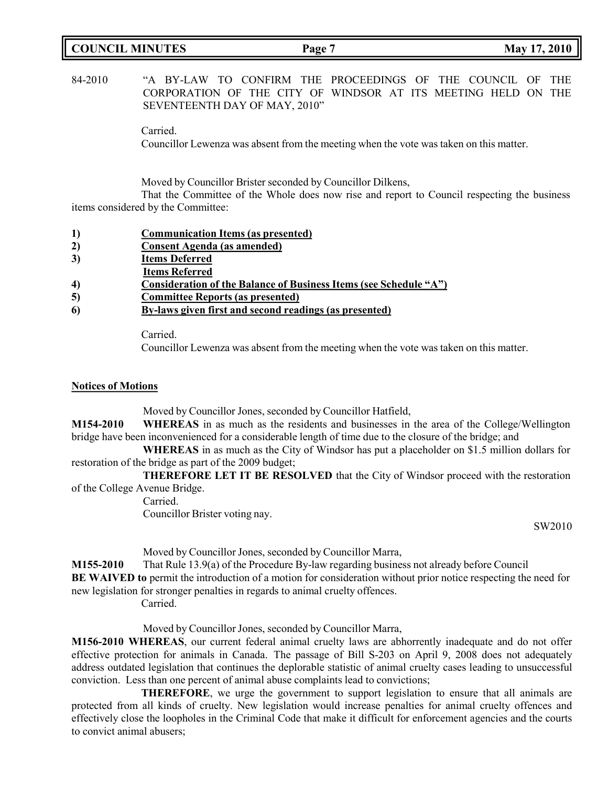## **COUNCIL MINUTES Page 7 May 17, 2010**

## 84-2010 "A BY-LAW TO CONFIRM THE PROCEEDINGS OF THE COUNCIL OF THE CORPORATION OF THE CITY OF WINDSOR AT ITS MEETING HELD ON THE SEVENTEENTH DAY OF MAY, 2010"

Carried.

Councillor Lewenza was absent from the meeting when the vote was taken on this matter.

Moved by Councillor Brister seconded by Councillor Dilkens,

That the Committee of the Whole does now rise and report to Council respecting the business items considered by the Committee:

|  |  | <b>Communication Items (as presented)</b> |  |  |  |
|--|--|-------------------------------------------|--|--|--|
|--|--|-------------------------------------------|--|--|--|

- **2) Consent Agenda (as amended)**
- **3) Items Deferred**
- **Items Referred**
- **4) Consideration of the Balance of Business Items (see Schedule "A")**
- **5) Committee Reports (as presented)**
- **6) By-laws given first and second readings (as presented)**

Carried.

Councillor Lewenza was absent from the meeting when the vote was taken on this matter.

#### **Notices of Motions**

Moved by Councillor Jones, seconded by Councillor Hatfield,

**M154-2010 WHEREAS** in as much as the residents and businesses in the area of the College/Wellington bridge have been inconvenienced for a considerable length of time due to the closure of the bridge; and

**WHEREAS** in as much as the City of Windsor has put a placeholder on \$1.5 million dollars for restoration of the bridge as part of the 2009 budget;

**THEREFORE LET IT BE RESOLVED** that the City of Windsor proceed with the restoration of the College Avenue Bridge.

Carried.

Councillor Brister voting nay.

SW2010

Moved by Councillor Jones, seconded by Councillor Marra,

**M155-2010** That Rule 13.9(a) of the Procedure By-law regarding business not already before Council **BE WAIVED to** permit the introduction of a motion for consideration without prior notice respecting the need for new legislation for stronger penalties in regards to animal cruelty offences.

Carried.

Moved by Councillor Jones, seconded by Councillor Marra,

**M156-2010 WHEREAS**, our current federal animal cruelty laws are abhorrently inadequate and do not offer effective protection for animals in Canada. The passage of Bill S-203 on April 9, 2008 does not adequately address outdated legislation that continues the deplorable statistic of animal cruelty cases leading to unsuccessful conviction. Less than one percent of animal abuse complaints lead to convictions;

**THEREFORE**, we urge the government to support legislation to ensure that all animals are protected from all kinds of cruelty. New legislation would increase penalties for animal cruelty offences and effectively close the loopholes in the Criminal Code that make it difficult for enforcement agencies and the courts to convict animal abusers;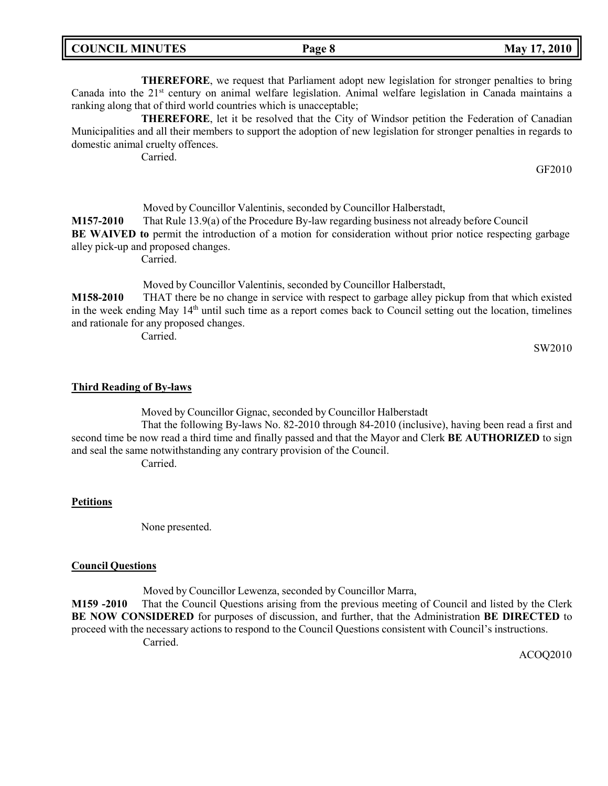| <b>COUNCIL MINUTES</b> | Page 8 | May 17, 2010 |
|------------------------|--------|--------------|
|                        |        |              |

**THEREFORE**, we request that Parliament adopt new legislation for stronger penalties to bring Canada into the 21<sup>st</sup> century on animal welfare legislation. Animal welfare legislation in Canada maintains a ranking along that of third world countries which is unacceptable;

**THEREFORE**, let it be resolved that the City of Windsor petition the Federation of Canadian Municipalities and all their members to support the adoption of new legislation for stronger penalties in regards to domestic animal cruelty offences.

Carried.

GF2010

Moved by Councillor Valentinis, seconded by Councillor Halberstadt, **M157-2010** That Rule 13.9(a) of the Procedure By-law regarding business not already before Council **BE WAIVED to** permit the introduction of a motion for consideration without prior notice respecting garbage alley pick-up and proposed changes.

Carried.

Moved by Councillor Valentinis, seconded by Councillor Halberstadt,

**M158-2010** THAT there be no change in service with respect to garbage alley pickup from that which existed in the week ending May 14<sup>th</sup> until such time as a report comes back to Council setting out the location, timelines and rationale for any proposed changes.

Carried.

SW2010

## **Third Reading of By-laws**

Moved by Councillor Gignac, seconded by Councillor Halberstadt

That the following By-laws No. 82-2010 through 84-2010 (inclusive), having been read a first and second time be now read a third time and finally passed and that the Mayor and Clerk **BE AUTHORIZED** to sign and seal the same notwithstanding any contrary provision of the Council.

Carried.

## **Petitions**

None presented.

#### **Council Questions**

Moved by Councillor Lewenza, seconded by Councillor Marra,

**M159 -2010** That the Council Questions arising from the previous meeting of Council and listed by the Clerk **BE NOW CONSIDERED** for purposes of discussion, and further, that the Administration **BE DIRECTED** to proceed with the necessary actions to respond to the Council Questions consistent with Council's instructions. Carried.

ACOQ2010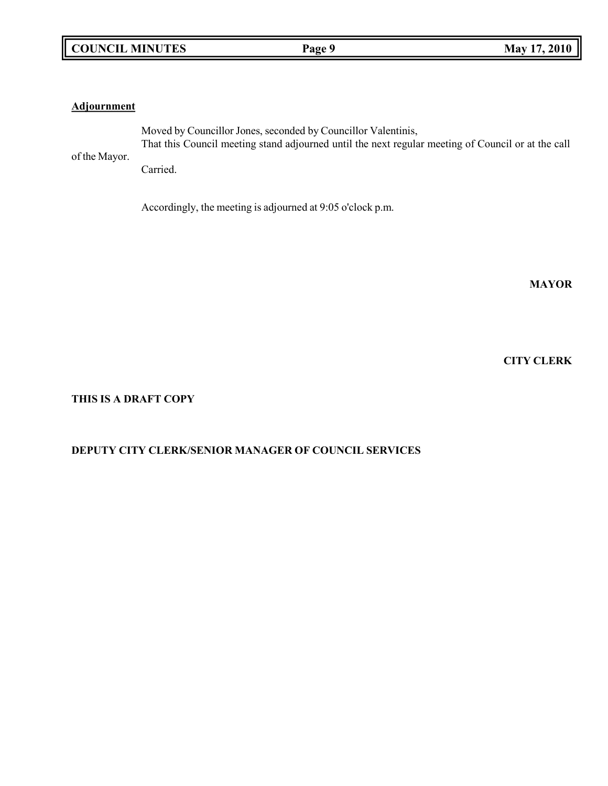## **Adjournment**

of the Mayor.

Moved by Councillor Jones, seconded by Councillor Valentinis, That this Council meeting stand adjourned until the next regular meeting of Council or at the call

Carried.

Accordingly, the meeting is adjourned at 9:05 o'clock p.m.

**MAYOR**

**CITY CLERK**

## **THIS IS A DRAFT COPY**

## **DEPUTY CITY CLERK/SENIOR MANAGER OF COUNCIL SERVICES**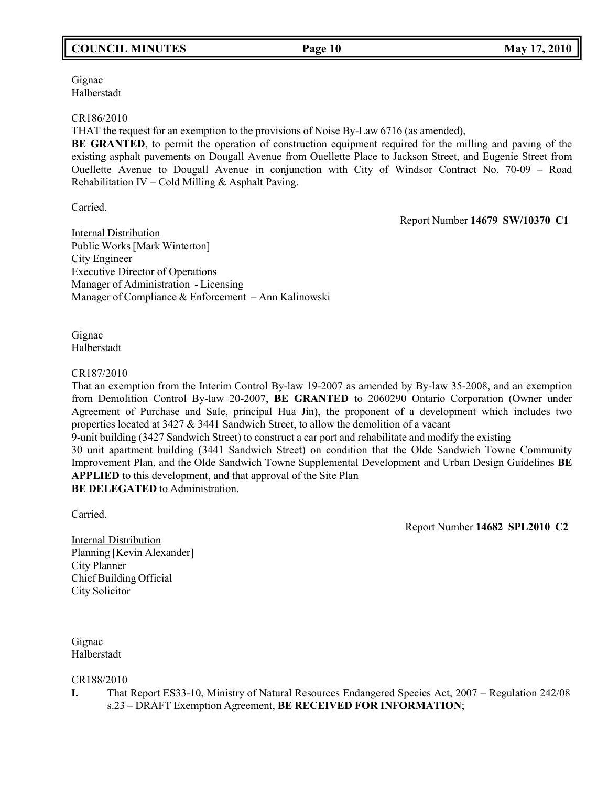# **COUNCIL MINUTES Page 10 May 17, 2010**

Gignac Halberstadt

### CR186/2010

THAT the request for an exemption to the provisions of Noise By-Law 6716 (as amended),

**BE GRANTED**, to permit the operation of construction equipment required for the milling and paving of the existing asphalt pavements on Dougall Avenue from Ouellette Place to Jackson Street, and Eugenie Street from Ouellette Avenue to Dougall Avenue in conjunction with City of Windsor Contract No. 70-09 – Road Rehabilitation IV – Cold Milling & Asphalt Paving.

Carried.

Report Number **14679 SW/10370 C1**

Internal Distribution Public Works[Mark Winterton] City Engineer Executive Director of Operations Manager of Administration - Licensing Manager of Compliance & Enforcement – Ann Kalinowski

Gignac Halberstadt

#### CR187/2010

That an exemption from the Interim Control By-law 19-2007 as amended by By-law 35-2008, and an exemption from Demolition Control By-law 20-2007, **BE GRANTED** to 2060290 Ontario Corporation (Owner under Agreement of Purchase and Sale, principal Hua Jin), the proponent of a development which includes two properties located at 3427 & 3441 Sandwich Street, to allow the demolition of a vacant

9-unit building (3427 Sandwich Street) to construct a car port and rehabilitate and modify the existing

30 unit apartment building (3441 Sandwich Street) on condition that the Olde Sandwich Towne Community Improvement Plan, and the Olde Sandwich Towne Supplemental Development and Urban Design Guidelines **BE APPLIED** to this development, and that approval of the Site Plan **BE DELEGATED** to Administration.

Carried.

Report Number **14682 SPL2010 C2**

Internal Distribution Planning [Kevin Alexander] City Planner Chief Building Official City Solicitor

Gignac Halberstadt

CR188/2010

**I.** That Report ES33-10, Ministry of Natural Resources Endangered Species Act, 2007 – Regulation 242/08 s.23 – DRAFT Exemption Agreement, **BE RECEIVED FOR INFORMATION**;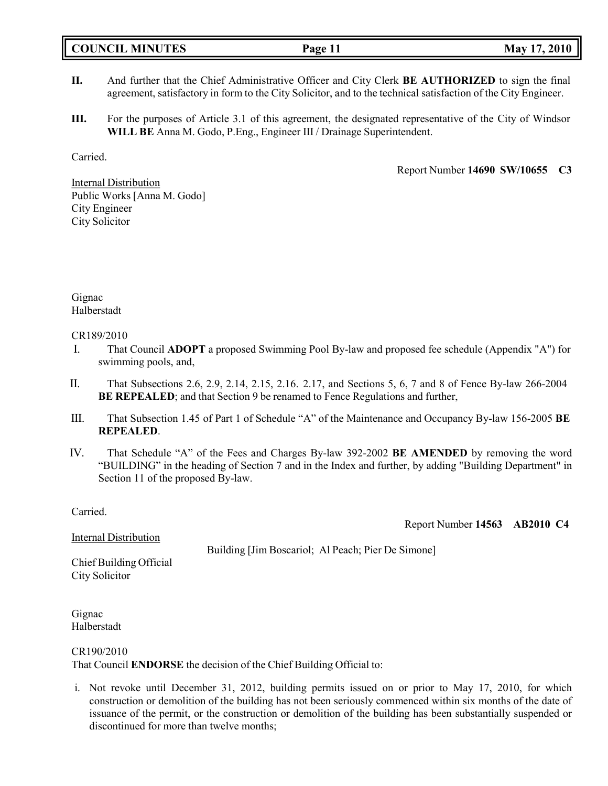- **II.** And further that the Chief Administrative Officer and City Clerk **BE AUTHORIZED** to sign the final agreement, satisfactory in form to the City Solicitor, and to the technical satisfaction of the City Engineer.
- **III.** For the purposes of Article 3.1 of this agreement, the designated representative of the City of Windsor **WILL BE** Anna M. Godo, P.Eng., Engineer III / Drainage Superintendent.

Carried.

Report Number **14690 SW/10655 C3**

Report Number **14563 AB2010 C4**

Internal Distribution Public Works [Anna M. Godo] City Engineer City Solicitor

Gignac Halberstadt

## CR189/2010

- I. That Council **ADOPT** a proposed Swimming Pool By-law and proposed fee schedule (Appendix "A") for swimming pools, and,
- II. That Subsections 2.6, 2.9, 2.14, 2.15, 2.16. 2.17, and Sections 5, 6, 7 and 8 of Fence By-law 266-2004 **BE REPEALED**; and that Section 9 be renamed to Fence Regulations and further,
- III. That Subsection 1.45 of Part 1 of Schedule "A" of the Maintenance and Occupancy By-law 156-2005 **BE REPEALED**.
- IV. That Schedule "A" of the Fees and Charges By-law 392-2002 **BE AMENDED** by removing the word "BUILDING" in the heading of Section 7 and in the Index and further, by adding "Building Department" in Section 11 of the proposed By-law.

Carried.

Internal Distribution

Building [Jim Boscariol; Al Peach; Pier De Simone]

Chief Building Official City Solicitor

Gignac Halberstadt

## CR190/2010

That Council **ENDORSE** the decision of the Chief Building Official to:

i. Not revoke until December 31, 2012, building permits issued on or prior to May 17, 2010, for which construction or demolition of the building has not been seriously commenced within six months of the date of issuance of the permit, or the construction or demolition of the building has been substantially suspended or discontinued for more than twelve months;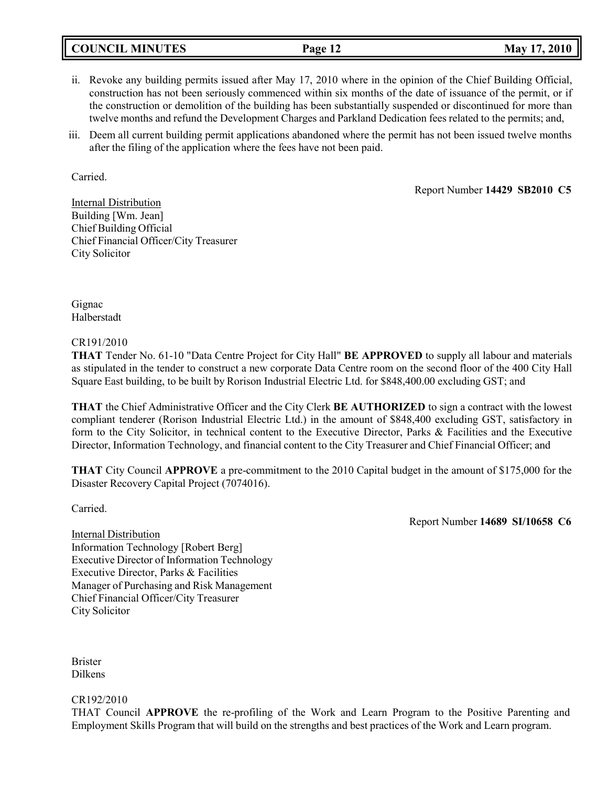## **COUNCIL MINUTES Page 12 May 17, 2010**

- ii. Revoke any building permits issued after May 17, 2010 where in the opinion of the Chief Building Official, construction has not been seriously commenced within six months of the date of issuance of the permit, or if the construction or demolition of the building has been substantially suspended or discontinued for more than twelve months and refund the Development Charges and Parkland Dedication fees related to the permits; and,
- iii. Deem all current building permit applications abandoned where the permit has not been issued twelve months after the filing of the application where the fees have not been paid.

Carried.

Report Number **14429 SB2010 C5**

Internal Distribution Building [Wm. Jean] Chief Building Official Chief Financial Officer/City Treasurer City Solicitor

Gignac Halberstadt

### CR191/2010

**THAT** Tender No. 61-10 "Data Centre Project for City Hall" **BE APPROVED** to supply all labour and materials as stipulated in the tender to construct a new corporate Data Centre room on the second floor of the 400 City Hall Square East building, to be built by Rorison Industrial Electric Ltd. for \$848,400.00 excluding GST; and

**THAT** the Chief Administrative Officer and the City Clerk **BE AUTHORIZED** to sign a contract with the lowest compliant tenderer (Rorison Industrial Electric Ltd.) in the amount of \$848,400 excluding GST, satisfactory in form to the City Solicitor, in technical content to the Executive Director, Parks & Facilities and the Executive Director, Information Technology, and financial content to the City Treasurer and Chief Financial Officer; and

**THAT** City Council **APPROVE** a pre-commitment to the 2010 Capital budget in the amount of \$175,000 for the Disaster Recovery Capital Project (7074016).

Carried.

Report Number **14689 SI/10658 C6**

Internal Distribution Information Technology [Robert Berg] Executive Director of Information Technology Executive Director, Parks & Facilities Manager of Purchasing and Risk Management Chief Financial Officer/City Treasurer City Solicitor

Brister Dilkens

CR192/2010

THAT Council **APPROVE** the re-profiling of the Work and Learn Program to the Positive Parenting and Employment Skills Program that will build on the strengths and best practices of the Work and Learn program.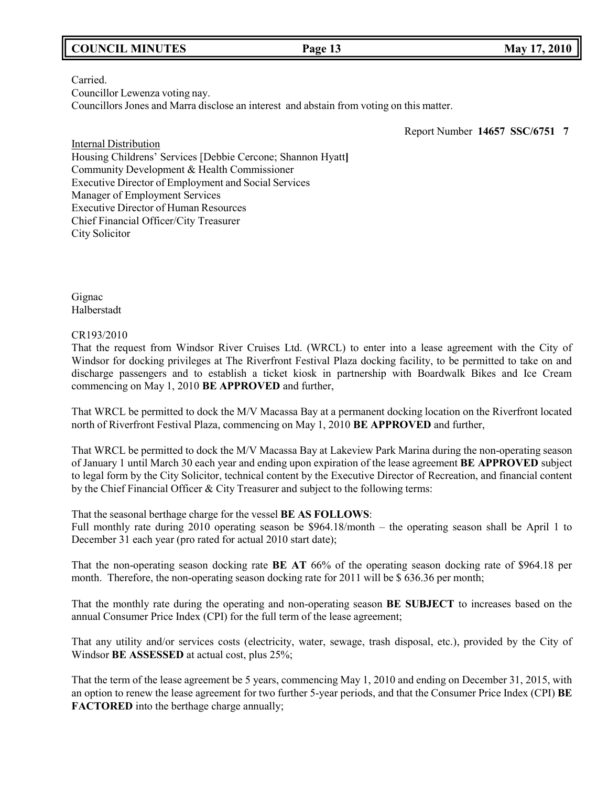## **COUNCIL MINUTES Page 13 May 17, 2010**

Carried. Councillor Lewenza voting nay.

Councillors Jones and Marra disclose an interest and abstain from voting on this matter.

Report Number **14657 SSC/6751 7**

Internal Distribution Housing Childrens' Services [Debbie Cercone; Shannon Hyatt**]** Community Development & Health Commissioner Executive Director of Employment and Social Services Manager of Employment Services Executive Director of Human Resources Chief Financial Officer/City Treasurer City Solicitor

Gignac Halberstadt

### CR193/2010

That the request from Windsor River Cruises Ltd. (WRCL) to enter into a lease agreement with the City of Windsor for docking privileges at The Riverfront Festival Plaza docking facility, to be permitted to take on and discharge passengers and to establish a ticket kiosk in partnership with Boardwalk Bikes and Ice Cream commencing on May 1, 2010 **BE APPROVED** and further,

That WRCL be permitted to dock the M/V Macassa Bay at a permanent docking location on the Riverfront located north of Riverfront Festival Plaza, commencing on May 1, 2010 **BE APPROVED** and further,

That WRCL be permitted to dock the M/V Macassa Bay at Lakeview Park Marina during the non-operating season of January 1 until March 30 each year and ending upon expiration of the lease agreement **BE APPROVED** subject to legal form by the City Solicitor, technical content by the Executive Director of Recreation, and financial content by the Chief Financial Officer & City Treasurer and subject to the following terms:

That the seasonal berthage charge for the vessel **BE AS FOLLOWS**:

Full monthly rate during 2010 operating season be \$964.18/month – the operating season shall be April 1 to December 31 each year (pro rated for actual 2010 start date);

That the non-operating season docking rate **BE AT** 66% of the operating season docking rate of \$964.18 per month. Therefore, the non-operating season docking rate for 2011 will be \$ 636.36 per month;

That the monthly rate during the operating and non-operating season **BE SUBJECT** to increases based on the annual Consumer Price Index (CPI) for the full term of the lease agreement;

That any utility and/or services costs (electricity, water, sewage, trash disposal, etc.), provided by the City of Windsor **BE ASSESSED** at actual cost, plus 25%;

That the term of the lease agreement be 5 years, commencing May 1, 2010 and ending on December 31, 2015, with an option to renew the lease agreement for two further 5-year periods, and that the Consumer Price Index (CPI) **BE FACTORED** into the berthage charge annually;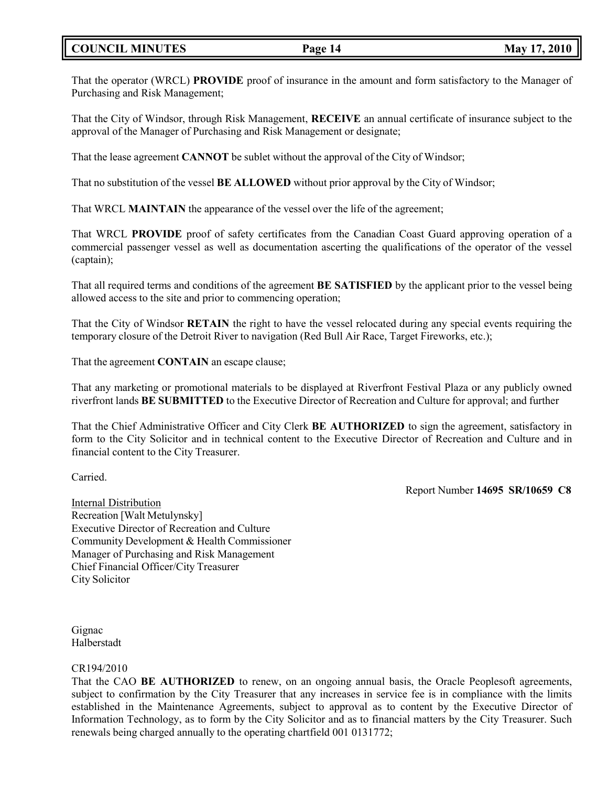## **COUNCIL MINUTES Page 14 May 17, 2010**

That the operator (WRCL) **PROVIDE** proof of insurance in the amount and form satisfactory to the Manager of Purchasing and Risk Management;

That the City of Windsor, through Risk Management, **RECEIVE** an annual certificate of insurance subject to the approval of the Manager of Purchasing and Risk Management or designate;

That the lease agreement **CANNOT** be sublet without the approval of the City of Windsor;

That no substitution of the vessel **BE ALLOWED** without prior approval by the City of Windsor;

That WRCL **MAINTAIN** the appearance of the vessel over the life of the agreement;

That WRCL **PROVIDE** proof of safety certificates from the Canadian Coast Guard approving operation of a commercial passenger vessel as well as documentation ascerting the qualifications of the operator of the vessel (captain);

That all required terms and conditions of the agreement **BE SATISFIED** by the applicant prior to the vessel being allowed access to the site and prior to commencing operation;

That the City of Windsor **RETAIN** the right to have the vessel relocated during any special events requiring the temporary closure of the Detroit River to navigation (Red Bull Air Race, Target Fireworks, etc.);

That the agreement **CONTAIN** an escape clause;

That any marketing or promotional materials to be displayed at Riverfront Festival Plaza or any publicly owned riverfront lands **BE SUBMITTED** to the Executive Director of Recreation and Culture for approval; and further

That the Chief Administrative Officer and City Clerk **BE AUTHORIZED** to sign the agreement, satisfactory in form to the City Solicitor and in technical content to the Executive Director of Recreation and Culture and in financial content to the City Treasurer.

Carried.

Report Number **14695 SR/10659 C8**

Internal Distribution Recreation [Walt Metulynsky] Executive Director of Recreation and Culture Community Development & Health Commissioner Manager of Purchasing and Risk Management Chief Financial Officer/City Treasurer City Solicitor

Gignac Halberstadt

#### CR194/2010

That the CAO **BE AUTHORIZED** to renew, on an ongoing annual basis, the Oracle Peoplesoft agreements, subject to confirmation by the City Treasurer that any increases in service fee is in compliance with the limits established in the Maintenance Agreements, subject to approval as to content by the Executive Director of Information Technology, as to form by the City Solicitor and as to financial matters by the City Treasurer. Such renewals being charged annually to the operating chartfield 001 0131772;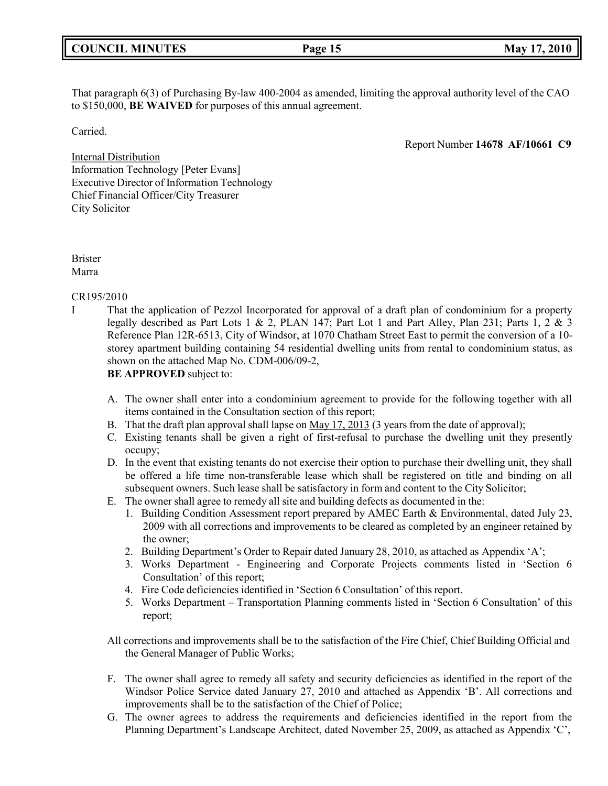|  | <b>COUNCIL MINUTES</b> |
|--|------------------------|
|--|------------------------|

That paragraph 6(3) of Purchasing By-law 400-2004 as amended, limiting the approval authority level of the CAO to \$150,000, **BE WAIVED** for purposes of this annual agreement.

Carried.

Report Number **14678 AF/10661 C9**

Internal Distribution Information Technology [Peter Evans] Executive Director of Information Technology Chief Financial Officer/City Treasurer City Solicitor

Brister Marra

### CR195/2010

I That the application of Pezzol Incorporated for approval of a draft plan of condominium for a property legally described as Part Lots 1 & 2, PLAN 147; Part Lot 1 and Part Alley, Plan 231; Parts 1, 2 & 3 Reference Plan 12R-6513, City of Windsor, at 1070 Chatham Street East to permit the conversion of a 10 storey apartment building containing 54 residential dwelling units from rental to condominium status, as shown on the attached Map No. CDM-006/09-2,

**BE APPROVED** subject to:

- A. The owner shall enter into a condominium agreement to provide for the following together with all items contained in the Consultation section of this report;
- B. That the draft plan approval shall lapse on May 17, 2013 (3 years from the date of approval);
- C. Existing tenants shall be given a right of first-refusal to purchase the dwelling unit they presently occupy;
- D. In the event that existing tenants do not exercise their option to purchase their dwelling unit, they shall be offered a life time non-transferable lease which shall be registered on title and binding on all subsequent owners. Such lease shall be satisfactory in form and content to the City Solicitor;
- E. The owner shall agree to remedy all site and building defects as documented in the:
	- 1. Building Condition Assessment report prepared by AMEC Earth & Environmental, dated July 23, 2009 with all corrections and improvements to be cleared as completed by an engineer retained by the owner;
	- 2. Building Department's Order to Repair dated January 28, 2010, as attached as Appendix 'A';
	- 3. Works Department Engineering and Corporate Projects comments listed in 'Section 6 Consultation' of this report;
	- 4. Fire Code deficiencies identified in 'Section 6 Consultation' of this report.
	- 5. Works Department Transportation Planning comments listed in 'Section 6 Consultation' of this report;
- All corrections and improvements shall be to the satisfaction of the Fire Chief, Chief Building Official and the General Manager of Public Works;
- F. The owner shall agree to remedy all safety and security deficiencies as identified in the report of the Windsor Police Service dated January 27, 2010 and attached as Appendix 'B'. All corrections and improvements shall be to the satisfaction of the Chief of Police;
- G. The owner agrees to address the requirements and deficiencies identified in the report from the Planning Department's Landscape Architect, dated November 25, 2009, as attached as Appendix 'C',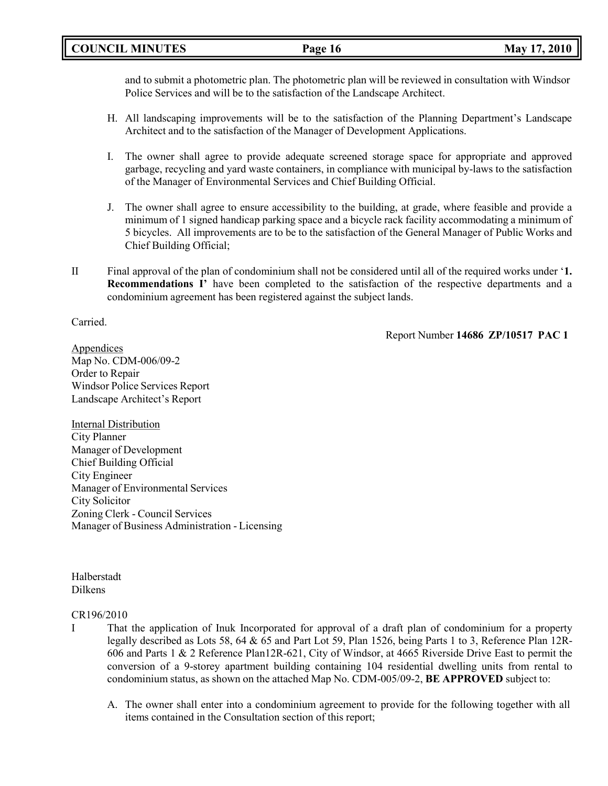## **COUNCIL MINUTES Page 16 May 17, 2010**

and to submit a photometric plan. The photometric plan will be reviewed in consultation with Windsor Police Services and will be to the satisfaction of the Landscape Architect.

- H. All landscaping improvements will be to the satisfaction of the Planning Department's Landscape Architect and to the satisfaction of the Manager of Development Applications.
- I. The owner shall agree to provide adequate screened storage space for appropriate and approved garbage, recycling and yard waste containers, in compliance with municipal by-laws to the satisfaction of the Manager of Environmental Services and Chief Building Official.
- J. The owner shall agree to ensure accessibility to the building, at grade, where feasible and provide a minimum of 1 signed handicap parking space and a bicycle rack facility accommodating a minimum of 5 bicycles. All improvements are to be to the satisfaction of the General Manager of Public Works and Chief Building Official;
- II Final approval of the plan of condominium shall not be considered until all of the required works under '**1. Recommendations I'** have been completed to the satisfaction of the respective departments and a condominium agreement has been registered against the subject lands.

Carried.

Report Number **14686 ZP/10517 PAC 1**

Appendices Map No. CDM-006/09-2 Order to Repair Windsor Police Services Report Landscape Architect's Report

Internal Distribution City Planner Manager of Development Chief Building Official City Engineer Manager of Environmental Services City Solicitor Zoning Clerk - Council Services Manager of Business Administration - Licensing

Halberstadt Dilkens

## CR196/2010

- I That the application of Inuk Incorporated for approval of a draft plan of condominium for a property legally described as Lots 58, 64 & 65 and Part Lot 59, Plan 1526, being Parts 1 to 3, Reference Plan 12R-606 and Parts 1 & 2 Reference Plan12R-621, City of Windsor, at 4665 Riverside Drive East to permit the conversion of a 9-storey apartment building containing 104 residential dwelling units from rental to condominium status, as shown on the attached Map No. CDM-005/09-2, **BE APPROVED** subject to:
	- A. The owner shall enter into a condominium agreement to provide for the following together with all items contained in the Consultation section of this report;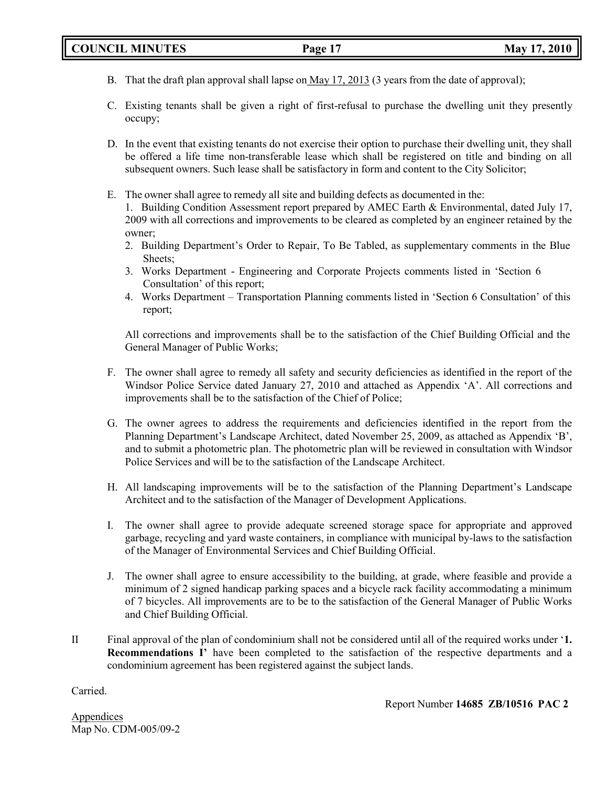- B. That the draft plan approval shall lapse on May 17, 2013 (3 years from the date of approval);
- C. Existing tenants shall be given a right of first-refusal to purchase the dwelling unit they presently occupy;
- D. In the event that existing tenants do not exercise their option to purchase their dwelling unit, they shall be offered a life time non-transferable lease which shall be registered on title and binding on all subsequent owners. Such lease shall be satisfactory in form and content to the City Solicitor;
- E. The owner shall agree to remedy all site and building defects as documented in the:

1. Building Condition Assessment report prepared by AMEC Earth & Environmental, dated July 17, 2009 with all corrections and improvements to be cleared as completed by an engineer retained by the owner;

- 2. Building Department's Order to Repair, To Be Tabled, as supplementary comments in the Blue Sheets;
- 3. Works Department Engineering and Corporate Projects comments listed in 'Section 6 Consultation' of this report;
- 4. Works Department Transportation Planning comments listed in 'Section 6 Consultation' of this report;

All corrections and improvements shall be to the satisfaction of the Chief Building Official and the General Manager of Public Works;

- F. The owner shall agree to remedy all safety and security deficiencies as identified in the report of the Windsor Police Service dated January 27, 2010 and attached as Appendix 'A'. All corrections and improvements shall be to the satisfaction of the Chief of Police;
- G. The owner agrees to address the requirements and deficiencies identified in the report from the Planning Department's Landscape Architect, dated November 25, 2009, as attached as Appendix 'B', and to submit a photometric plan. The photometric plan will be reviewed in consultation with Windsor Police Services and will be to the satisfaction of the Landscape Architect.
- H. All landscaping improvements will be to the satisfaction of the Planning Department's Landscape Architect and to the satisfaction of the Manager of Development Applications.
- I. The owner shall agree to provide adequate screened storage space for appropriate and approved garbage, recycling and yard waste containers, in compliance with municipal by-laws to the satisfaction of the Manager of Environmental Services and Chief Building Official.
- J. The owner shall agree to ensure accessibility to the building, at grade, where feasible and provide a minimum of 2 signed handicap parking spaces and a bicycle rack facility accommodating a minimum of 7 bicycles. All improvements are to be to the satisfaction of the General Manager of Public Works and Chief Building Official.
- II Final approval of the plan of condominium shall not be considered until all of the required works under '**1. Recommendations I'** have been completed to the satisfaction of the respective departments and a condominium agreement has been registered against the subject lands.

Carried.

Report Number **14685 ZB/10516 PAC 2**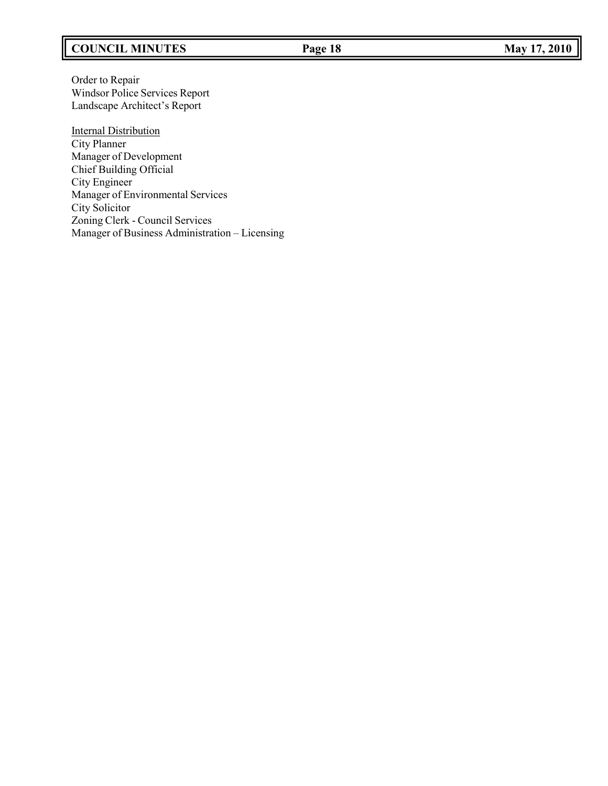# **COUNCIL MINUTES Page 18 May 17, 2010**

Order to Repair Windsor Police Services Report Landscape Architect's Report

**Internal Distribution** City Planner Manager of Development Chief Building Official City Engineer Manager of Environmental Services City Solicitor Zoning Clerk - Council Services Manager of Business Administration – Licensing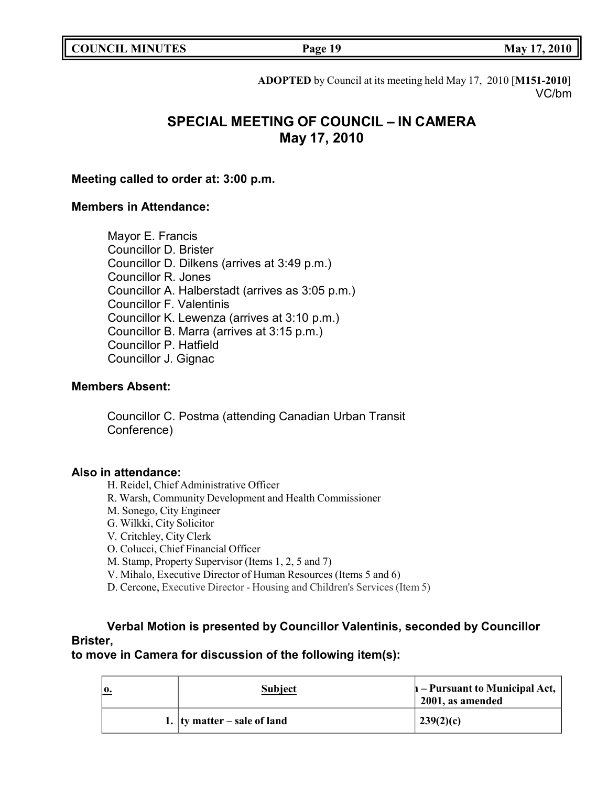|  | <b>COUNCIL MINUTES</b> |
|--|------------------------|
|--|------------------------|

**COUNCIL EXECUTE: COUNCIL EXECUTE: Page 19 May** 17, 2010

**ADOPTED** by Council at its meeting held May 17, 2010 [**M151-2010**] VC/bm

# **SPECIAL MEETING OF COUNCIL – IN CAMERA May 17, 2010**

## **Meeting called to order at: 3:00 p.m.**

## **Members in Attendance:**

Mayor E. Francis Councillor D. Brister Councillor D. Dilkens (arrives at 3:49 p.m.) Councillor R. Jones Councillor A. Halberstadt (arrives as 3:05 p.m.) Councillor F. Valentinis Councillor K. Lewenza (arrives at 3:10 p.m.) Councillor B. Marra (arrives at 3:15 p.m.) Councillor P. Hatfield Councillor J. Gignac

## **Members Absent:**

Councillor C. Postma (attending Canadian Urban Transit Conference)

## **Also in attendance:**

H. Reidel, Chief Administrative Officer

- R. Warsh, Community Development and Health Commissioner
- M. Sonego, City Engineer
- G. Wilkki, City Solicitor
- V. Critchley, City Clerk
- O. Colucci, Chief Financial Officer
- M. Stamp, Property Supervisor (Items 1, 2, 5 and 7)
- V. Mihalo, Executive Director of Human Resources (Items 5 and 6)
- D. Cercone, Executive Director Housing and Children's Services (Item 5)

# **Verbal Motion is presented by Councillor Valentinis, seconded by Councillor Brister,**

## **to move in Camera for discussion of the following item(s):**

| $\mathbf{0}$ . | <b>Subject</b>                      | $\mathbf{h}$ – Pursuant to Municipal Act,<br>2001, as amended |
|----------------|-------------------------------------|---------------------------------------------------------------|
|                | 1. $\vert$ ty matter – sale of land | 239(2)(c)                                                     |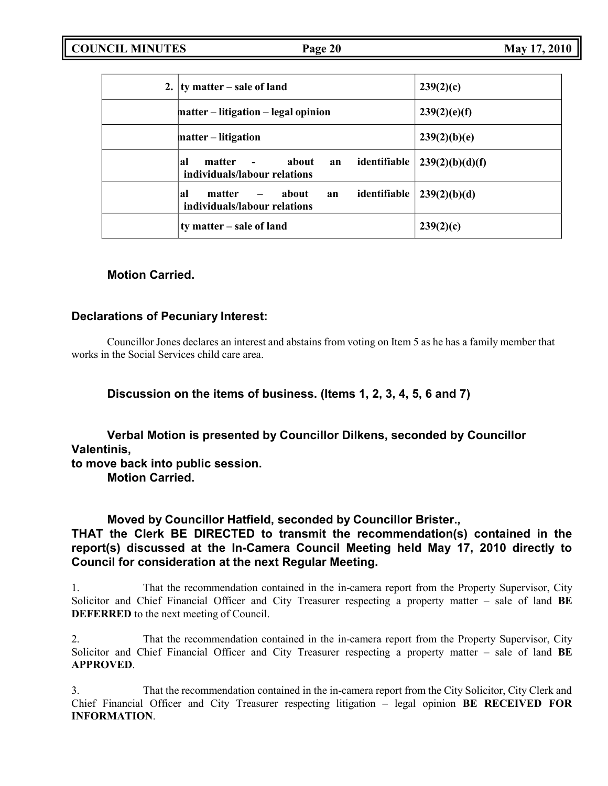| 2. | ty matter – sale of land                                                                  | 239(2)(c)       |
|----|-------------------------------------------------------------------------------------------|-----------------|
|    | matter – litigation – legal opinion                                                       | 239(2)(e)(f)    |
|    | matter – litigation                                                                       | 239(2)(b)(e)    |
|    | about<br>identifiable<br>яl<br>matter<br>$\sim 100$<br>an<br>individuals/labour relations | 239(2)(b)(d)(f) |
|    | identifiable<br>about<br>al<br>matter<br>$\sim$<br>an<br>individuals/labour relations     | 239(2)(b)(d)    |
|    | ty matter – sale of land                                                                  | 239(2)(c)       |

## **Motion Carried.**

## **Declarations of Pecuniary Interest:**

Councillor Jones declares an interest and abstains from voting on Item 5 as he has a family member that works in the Social Services child care area.

**Discussion on the items of business. (Items 1, 2, 3, 4, 5, 6 and 7)**

**Verbal Motion is presented by Councillor Dilkens, seconded by Councillor Valentinis,**

**to move back into public session.**

**Motion Carried.**

**Moved by Councillor Hatfield, seconded by Councillor Brister.,**

# **THAT the Clerk BE DIRECTED to transmit the recommendation(s) contained in the report(s) discussed at the In-Camera Council Meeting held May 17, 2010 directly to Council for consideration at the next Regular Meeting.**

1. That the recommendation contained in the in-camera report from the Property Supervisor, City Solicitor and Chief Financial Officer and City Treasurer respecting a property matter – sale of land **BE DEFERRED** to the next meeting of Council.

2. That the recommendation contained in the in-camera report from the Property Supervisor, City Solicitor and Chief Financial Officer and City Treasurer respecting a property matter – sale of land **BE APPROVED**.

3. That the recommendation contained in the in-camera report from the City Solicitor, City Clerk and Chief Financial Officer and City Treasurer respecting litigation – legal opinion **BE RECEIVED FOR INFORMATION**.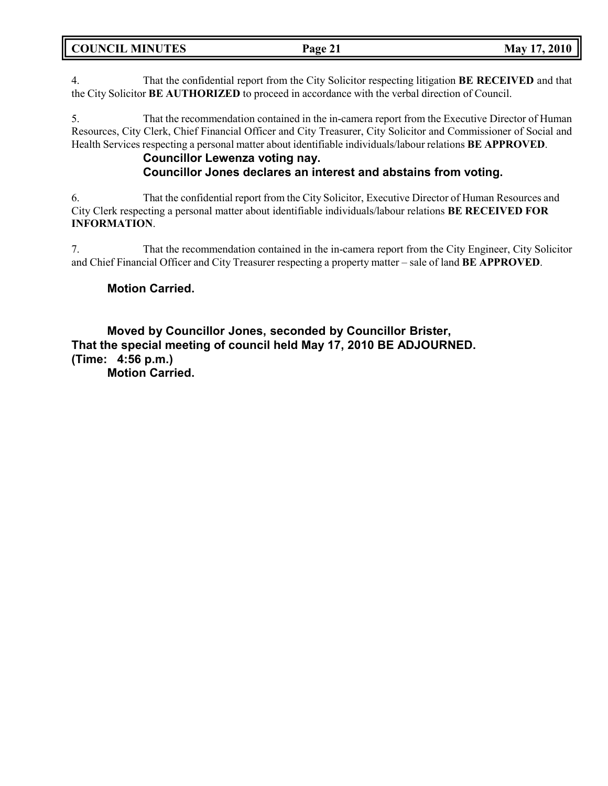4. That the confidential report from the City Solicitor respecting litigation **BE RECEIVED** and that the City Solicitor **BE AUTHORIZED** to proceed in accordance with the verbal direction of Council.

5. That the recommendation contained in the in-camera report from the Executive Director of Human Resources, City Clerk, Chief Financial Officer and City Treasurer, City Solicitor and Commissioner of Social and Health Services respecting a personal matter about identifiable individuals/labour relations **BE APPROVED**.

## **Councillor Lewenza voting nay. Councillor Jones declares an interest and abstains from voting.**

6. That the confidential report from the City Solicitor, Executive Director of Human Resources and City Clerk respecting a personal matter about identifiable individuals/labour relations **BE RECEIVED FOR INFORMATION**.

7. That the recommendation contained in the in-camera report from the City Engineer, City Solicitor and Chief Financial Officer and City Treasurer respecting a property matter – sale of land **BE APPROVED**.

# **Motion Carried.**

**Moved by Councillor Jones, seconded by Councillor Brister, That the special meeting of council held May 17, 2010 BE ADJOURNED. (Time: 4:56 p.m.)**

**Motion Carried.**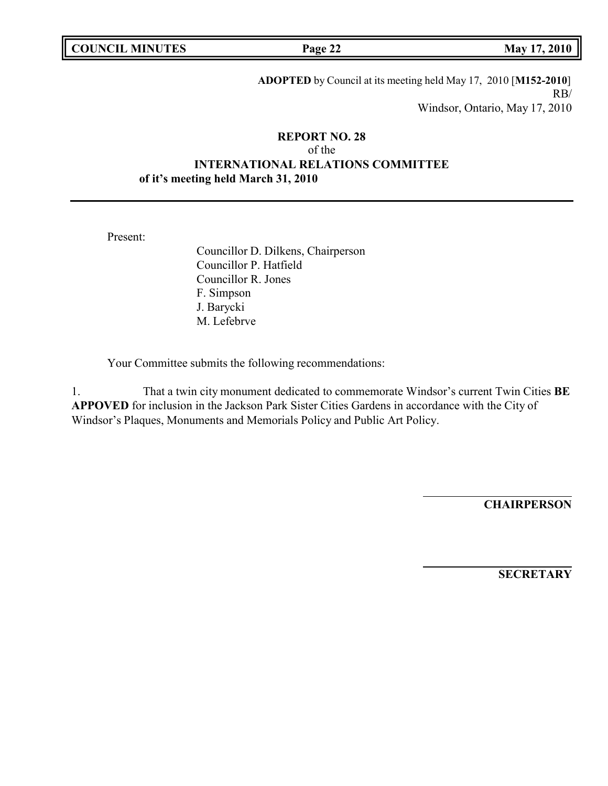**COUNCIL MINUTES Page 22 May 17, 2010**

**ADOPTED** by Council at its meeting held May 17, 2010 [**M152-2010**] RB/ Windsor, Ontario, May 17, 2010

## **REPORT NO. 28** of the **INTERNATIONAL RELATIONS COMMITTEE of it's meeting held March 31, 2010**

Present:

Councillor D. Dilkens, Chairperson Councillor P. Hatfield Councillor R. Jones F. Simpson J. Barycki M. Lefebrve

Your Committee submits the following recommendations:

1. That a twin city monument dedicated to commemorate Windsor's current Twin Cities **BE APPOVED** for inclusion in the Jackson Park Sister Cities Gardens in accordance with the City of Windsor's Plaques, Monuments and Memorials Policy and Public Art Policy.

**CHAIRPERSON**

**SECRETARY**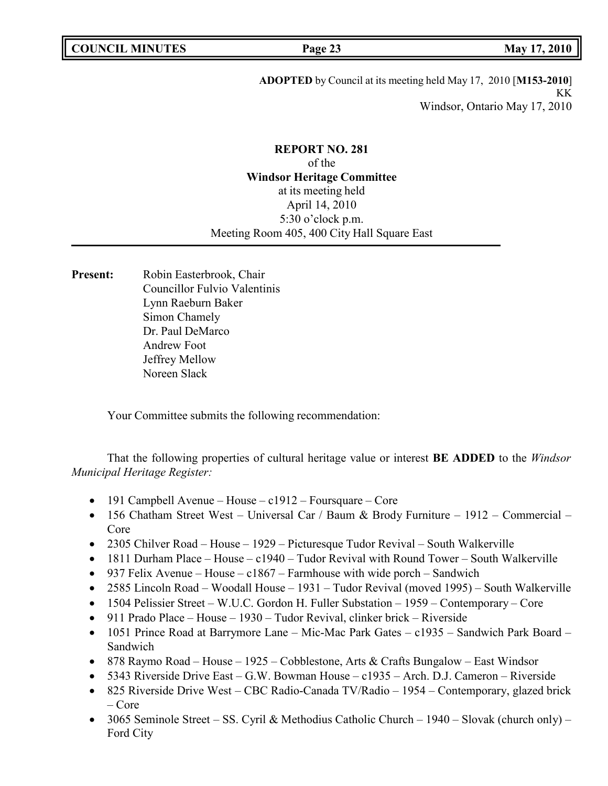**ADOPTED** by Council at its meeting held May 17, 2010 [**M153-2010**] KK Windsor, Ontario May 17, 2010

## **REPORT NO. 281** of the **Windsor Heritage Committee** at its meeting held April 14, 2010 5:30 o'clock p.m. Meeting Room 405, 400 City Hall Square East

**Present:** Robin Easterbrook, Chair Councillor Fulvio Valentinis Lynn Raeburn Baker Simon Chamely Dr. Paul DeMarco Andrew Foot Jeffrey Mellow Noreen Slack

Your Committee submits the following recommendation:

That the following properties of cultural heritage value or interest **BE ADDED** to the *Windsor Municipal Heritage Register:*

- 191 Campbell Avenue House c1912 Foursquare Core
- 156 Chatham Street West Universal Car / Baum & Brody Furniture 1912 Commercial Core
- 2305 Chilver Road House 1929 Picturesque Tudor Revival South Walkerville
- 1811 Durham Place House c1940 Tudor Revival with Round Tower South Walkerville
- 937 Felix Avenue House c1867 Farmhouse with wide porch Sandwich
- 2585 Lincoln Road Woodall House 1931 Tudor Revival (moved 1995) South Walkerville
- 1504 Pelissier Street W.U.C. Gordon H. Fuller Substation 1959 Contemporary Core
- 911 Prado Place House 1930 Tudor Revival, clinker brick Riverside
- 1051 Prince Road at Barrymore Lane Mic-Mac Park Gates c1935 Sandwich Park Board Sandwich
- 878 Raymo Road House 1925 Cobblestone, Arts & Crafts Bungalow East Windsor
- 5343 Riverside Drive East G.W. Bowman House c1935 Arch. D.J. Cameron Riverside
- 825 Riverside Drive West CBC Radio-Canada TV/Radio 1954 Contemporary, glazed brick – Core
- 3065 Seminole Street SS. Cyril & Methodius Catholic Church 1940 Slovak (church only) Ford City